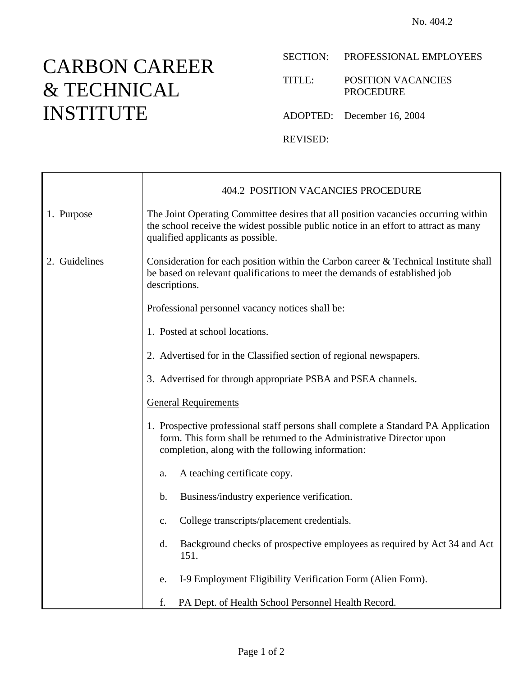## CARBON CAREER & TECHNICAL INSTITUTE

## SECTION: PROFESSIONAL EMPLOYEES

TITLE: POSITION VACANCIES PROCEDURE

ADOPTED: December 16, 2004

REVISED:

|               | <b>404.2 POSITION VACANCIES PROCEDURE</b>                                                                                                                                                                        |
|---------------|------------------------------------------------------------------------------------------------------------------------------------------------------------------------------------------------------------------|
| 1. Purpose    | The Joint Operating Committee desires that all position vacancies occurring within<br>the school receive the widest possible public notice in an effort to attract as many<br>qualified applicants as possible.  |
| 2. Guidelines | Consideration for each position within the Carbon career $&$ Technical Institute shall<br>be based on relevant qualifications to meet the demands of established job<br>descriptions.                            |
|               | Professional personnel vacancy notices shall be:                                                                                                                                                                 |
|               | 1. Posted at school locations.                                                                                                                                                                                   |
|               | 2. Advertised for in the Classified section of regional newspapers.                                                                                                                                              |
|               | 3. Advertised for through appropriate PSBA and PSEA channels.                                                                                                                                                    |
|               | <b>General Requirements</b>                                                                                                                                                                                      |
|               | 1. Prospective professional staff persons shall complete a Standard PA Application<br>form. This form shall be returned to the Administrative Director upon<br>completion, along with the following information: |
|               | A teaching certificate copy.<br>a.                                                                                                                                                                               |
|               | Business/industry experience verification.<br>$\mathbf b$ .                                                                                                                                                      |
|               | College transcripts/placement credentials.<br>$\mathbf{c}$ .                                                                                                                                                     |
|               | Background checks of prospective employees as required by Act 34 and Act<br>d.<br>151.                                                                                                                           |
|               | I-9 Employment Eligibility Verification Form (Alien Form).<br>e.                                                                                                                                                 |
|               | f.<br>PA Dept. of Health School Personnel Health Record.                                                                                                                                                         |